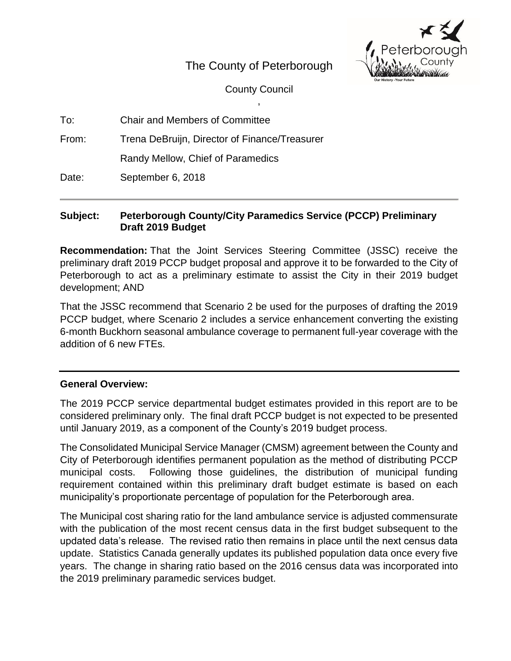# The County of Peterborough

County Council ,



| To: | <b>Chair and Members of Committee</b> |  |
|-----|---------------------------------------|--|
|     |                                       |  |

From: Trena DeBruijn, Director of Finance/Treasurer

Randy Mellow, Chief of Paramedics

Date: September 6, 2018

## **Subject: Peterborough County/City Paramedics Service (PCCP) Preliminary Draft 2019 Budget**

**Recommendation:** That the Joint Services Steering Committee (JSSC) receive the preliminary draft 2019 PCCP budget proposal and approve it to be forwarded to the City of Peterborough to act as a preliminary estimate to assist the City in their 2019 budget development; AND

That the JSSC recommend that Scenario 2 be used for the purposes of drafting the 2019 PCCP budget, where Scenario 2 includes a service enhancement converting the existing 6-month Buckhorn seasonal ambulance coverage to permanent full-year coverage with the addition of 6 new FTEs.

## **General Overview:**

The 2019 PCCP service departmental budget estimates provided in this report are to be considered preliminary only. The final draft PCCP budget is not expected to be presented until January 2019, as a component of the County's 2019 budget process.

The Consolidated Municipal Service Manager (CMSM) agreement between the County and City of Peterborough identifies permanent population as the method of distributing PCCP municipal costs. Following those guidelines, the distribution of municipal funding requirement contained within this preliminary draft budget estimate is based on each municipality's proportionate percentage of population for the Peterborough area.

The Municipal cost sharing ratio for the land ambulance service is adjusted commensurate with the publication of the most recent census data in the first budget subsequent to the updated data's release. The revised ratio then remains in place until the next census data update. Statistics Canada generally updates its published population data once every five years. The change in sharing ratio based on the 2016 census data was incorporated into the 2019 preliminary paramedic services budget.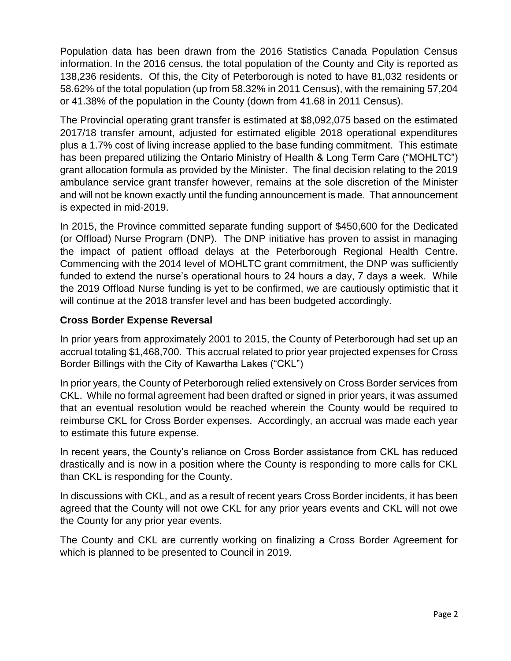Population data has been drawn from the 2016 Statistics Canada Population Census information. In the 2016 census, the total population of the County and City is reported as 138,236 residents. Of this, the City of Peterborough is noted to have 81,032 residents or 58.62% of the total population (up from 58.32% in 2011 Census), with the remaining 57,204 or 41.38% of the population in the County (down from 41.68 in 2011 Census).

The Provincial operating grant transfer is estimated at \$8,092,075 based on the estimated 2017/18 transfer amount, adjusted for estimated eligible 2018 operational expenditures plus a 1.7% cost of living increase applied to the base funding commitment. This estimate has been prepared utilizing the Ontario Ministry of Health & Long Term Care ("MOHLTC") grant allocation formula as provided by the Minister. The final decision relating to the 2019 ambulance service grant transfer however, remains at the sole discretion of the Minister and will not be known exactly until the funding announcement is made. That announcement is expected in mid-2019.

In 2015, the Province committed separate funding support of \$450,600 for the Dedicated (or Offload) Nurse Program (DNP). The DNP initiative has proven to assist in managing the impact of patient offload delays at the Peterborough Regional Health Centre. Commencing with the 2014 level of MOHLTC grant commitment, the DNP was sufficiently funded to extend the nurse's operational hours to 24 hours a day, 7 days a week. While the 2019 Offload Nurse funding is yet to be confirmed, we are cautiously optimistic that it will continue at the 2018 transfer level and has been budgeted accordingly.

## **Cross Border Expense Reversal**

In prior years from approximately 2001 to 2015, the County of Peterborough had set up an accrual totaling \$1,468,700. This accrual related to prior year projected expenses for Cross Border Billings with the City of Kawartha Lakes ("CKL")

In prior years, the County of Peterborough relied extensively on Cross Border services from CKL. While no formal agreement had been drafted or signed in prior years, it was assumed that an eventual resolution would be reached wherein the County would be required to reimburse CKL for Cross Border expenses. Accordingly, an accrual was made each year to estimate this future expense.

In recent years, the County's reliance on Cross Border assistance from CKL has reduced drastically and is now in a position where the County is responding to more calls for CKL than CKL is responding for the County.

In discussions with CKL, and as a result of recent years Cross Border incidents, it has been agreed that the County will not owe CKL for any prior years events and CKL will not owe the County for any prior year events.

The County and CKL are currently working on finalizing a Cross Border Agreement for which is planned to be presented to Council in 2019.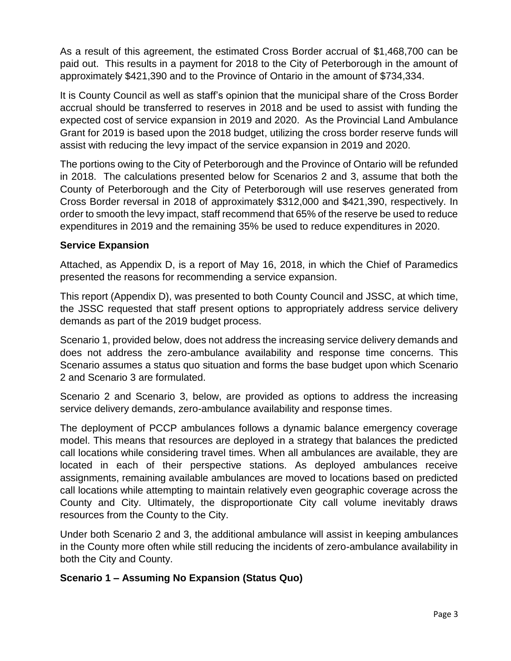As a result of this agreement, the estimated Cross Border accrual of \$1,468,700 can be paid out. This results in a payment for 2018 to the City of Peterborough in the amount of approximately \$421,390 and to the Province of Ontario in the amount of \$734,334.

It is County Council as well as staff's opinion that the municipal share of the Cross Border accrual should be transferred to reserves in 2018 and be used to assist with funding the expected cost of service expansion in 2019 and 2020. As the Provincial Land Ambulance Grant for 2019 is based upon the 2018 budget, utilizing the cross border reserve funds will assist with reducing the levy impact of the service expansion in 2019 and 2020.

The portions owing to the City of Peterborough and the Province of Ontario will be refunded in 2018. The calculations presented below for Scenarios 2 and 3, assume that both the County of Peterborough and the City of Peterborough will use reserves generated from Cross Border reversal in 2018 of approximately \$312,000 and \$421,390, respectively. In order to smooth the levy impact, staff recommend that 65% of the reserve be used to reduce expenditures in 2019 and the remaining 35% be used to reduce expenditures in 2020.

## **Service Expansion**

Attached, as Appendix D, is a report of May 16, 2018, in which the Chief of Paramedics presented the reasons for recommending a service expansion.

This report (Appendix D), was presented to both County Council and JSSC, at which time, the JSSC requested that staff present options to appropriately address service delivery demands as part of the 2019 budget process.

Scenario 1, provided below, does not address the increasing service delivery demands and does not address the zero-ambulance availability and response time concerns. This Scenario assumes a status quo situation and forms the base budget upon which Scenario 2 and Scenario 3 are formulated.

Scenario 2 and Scenario 3, below, are provided as options to address the increasing service delivery demands, zero-ambulance availability and response times.

The deployment of PCCP ambulances follows a dynamic balance emergency coverage model. This means that resources are deployed in a strategy that balances the predicted call locations while considering travel times. When all ambulances are available, they are located in each of their perspective stations. As deployed ambulances receive assignments, remaining available ambulances are moved to locations based on predicted call locations while attempting to maintain relatively even geographic coverage across the County and City. Ultimately, the disproportionate City call volume inevitably draws resources from the County to the City.

Under both Scenario 2 and 3, the additional ambulance will assist in keeping ambulances in the County more often while still reducing the incidents of zero-ambulance availability in both the City and County.

## **Scenario 1 – Assuming No Expansion (Status Quo)**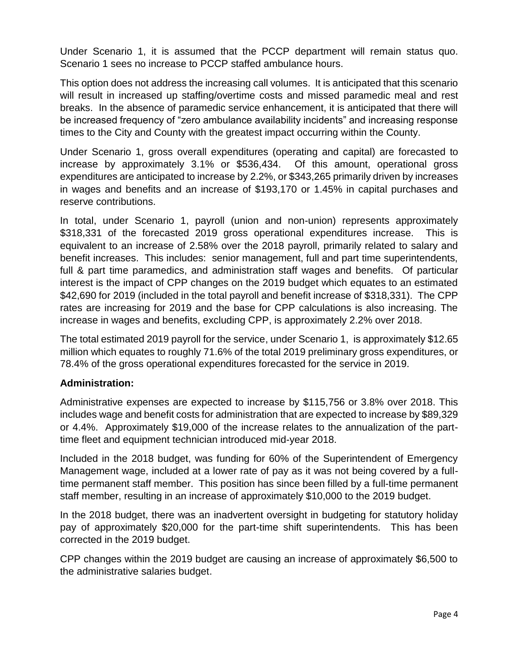Under Scenario 1, it is assumed that the PCCP department will remain status quo. Scenario 1 sees no increase to PCCP staffed ambulance hours.

This option does not address the increasing call volumes. It is anticipated that this scenario will result in increased up staffing/overtime costs and missed paramedic meal and rest breaks. In the absence of paramedic service enhancement, it is anticipated that there will be increased frequency of "zero ambulance availability incidents" and increasing response times to the City and County with the greatest impact occurring within the County.

Under Scenario 1, gross overall expenditures (operating and capital) are forecasted to increase by approximately 3.1% or \$536,434. Of this amount, operational gross expenditures are anticipated to increase by 2.2%, or \$343,265 primarily driven by increases in wages and benefits and an increase of \$193,170 or 1.45% in capital purchases and reserve contributions.

In total, under Scenario 1, payroll (union and non-union) represents approximately \$318,331 of the forecasted 2019 gross operational expenditures increase. This is equivalent to an increase of 2.58% over the 2018 payroll, primarily related to salary and benefit increases. This includes: senior management, full and part time superintendents, full & part time paramedics, and administration staff wages and benefits. Of particular interest is the impact of CPP changes on the 2019 budget which equates to an estimated \$42,690 for 2019 (included in the total payroll and benefit increase of \$318,331). The CPP rates are increasing for 2019 and the base for CPP calculations is also increasing. The increase in wages and benefits, excluding CPP, is approximately 2.2% over 2018.

The total estimated 2019 payroll for the service, under Scenario 1, is approximately \$12.65 million which equates to roughly 71.6% of the total 2019 preliminary gross expenditures, or 78.4% of the gross operational expenditures forecasted for the service in 2019.

## **Administration:**

Administrative expenses are expected to increase by \$115,756 or 3.8% over 2018. This includes wage and benefit costs for administration that are expected to increase by \$89,329 or 4.4%. Approximately \$19,000 of the increase relates to the annualization of the parttime fleet and equipment technician introduced mid-year 2018.

Included in the 2018 budget, was funding for 60% of the Superintendent of Emergency Management wage, included at a lower rate of pay as it was not being covered by a fulltime permanent staff member. This position has since been filled by a full-time permanent staff member, resulting in an increase of approximately \$10,000 to the 2019 budget.

In the 2018 budget, there was an inadvertent oversight in budgeting for statutory holiday pay of approximately \$20,000 for the part-time shift superintendents. This has been corrected in the 2019 budget.

CPP changes within the 2019 budget are causing an increase of approximately \$6,500 to the administrative salaries budget.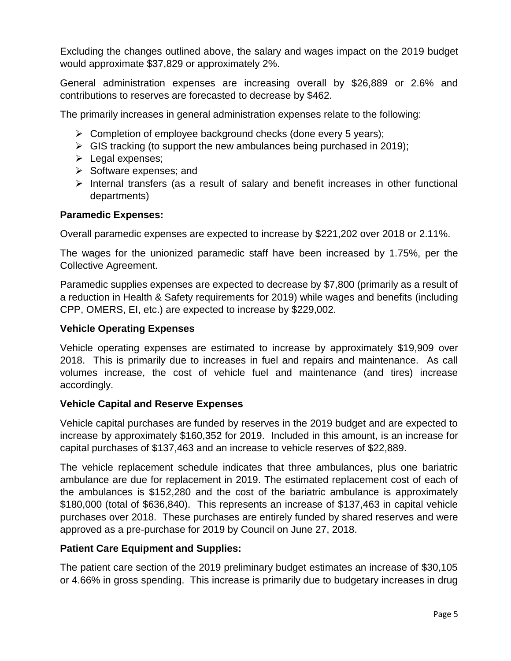Excluding the changes outlined above, the salary and wages impact on the 2019 budget would approximate \$37,829 or approximately 2%.

General administration expenses are increasing overall by \$26,889 or 2.6% and contributions to reserves are forecasted to decrease by \$462.

The primarily increases in general administration expenses relate to the following:

- $\triangleright$  Completion of employee background checks (done every 5 years);
- $\triangleright$  GIS tracking (to support the new ambulances being purchased in 2019);
- $\triangleright$  Legal expenses;
- $\triangleright$  Software expenses; and
- $\triangleright$  Internal transfers (as a result of salary and benefit increases in other functional departments)

#### **Paramedic Expenses:**

Overall paramedic expenses are expected to increase by \$221,202 over 2018 or 2.11%.

The wages for the unionized paramedic staff have been increased by 1.75%, per the Collective Agreement.

Paramedic supplies expenses are expected to decrease by \$7,800 (primarily as a result of a reduction in Health & Safety requirements for 2019) while wages and benefits (including CPP, OMERS, EI, etc.) are expected to increase by \$229,002.

#### **Vehicle Operating Expenses**

Vehicle operating expenses are estimated to increase by approximately \$19,909 over 2018. This is primarily due to increases in fuel and repairs and maintenance. As call volumes increase, the cost of vehicle fuel and maintenance (and tires) increase accordingly.

## **Vehicle Capital and Reserve Expenses**

Vehicle capital purchases are funded by reserves in the 2019 budget and are expected to increase by approximately \$160,352 for 2019. Included in this amount, is an increase for capital purchases of \$137,463 and an increase to vehicle reserves of \$22,889.

The vehicle replacement schedule indicates that three ambulances, plus one bariatric ambulance are due for replacement in 2019. The estimated replacement cost of each of the ambulances is \$152,280 and the cost of the bariatric ambulance is approximately \$180,000 (total of \$636,840). This represents an increase of \$137,463 in capital vehicle purchases over 2018. These purchases are entirely funded by shared reserves and were approved as a pre-purchase for 2019 by Council on June 27, 2018.

## **Patient Care Equipment and Supplies:**

The patient care section of the 2019 preliminary budget estimates an increase of \$30,105 or 4.66% in gross spending. This increase is primarily due to budgetary increases in drug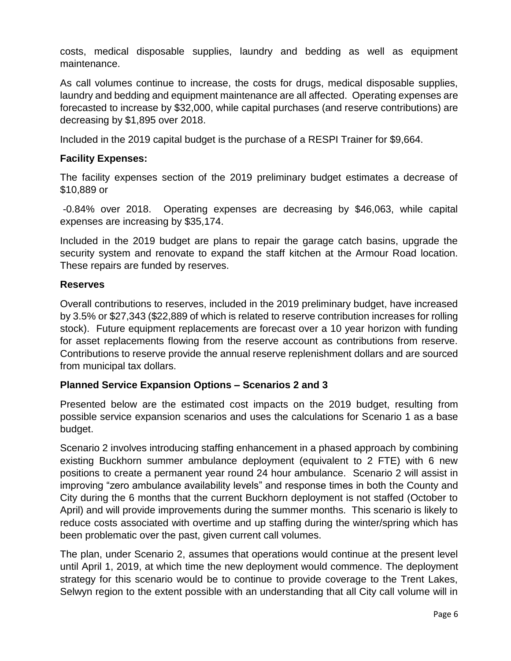costs, medical disposable supplies, laundry and bedding as well as equipment maintenance.

As call volumes continue to increase, the costs for drugs, medical disposable supplies, laundry and bedding and equipment maintenance are all affected. Operating expenses are forecasted to increase by \$32,000, while capital purchases (and reserve contributions) are decreasing by \$1,895 over 2018.

Included in the 2019 capital budget is the purchase of a RESPI Trainer for \$9,664.

## **Facility Expenses:**

The facility expenses section of the 2019 preliminary budget estimates a decrease of \$10,889 or

-0.84% over 2018. Operating expenses are decreasing by \$46,063, while capital expenses are increasing by \$35,174.

Included in the 2019 budget are plans to repair the garage catch basins, upgrade the security system and renovate to expand the staff kitchen at the Armour Road location. These repairs are funded by reserves.

## **Reserves**

Overall contributions to reserves, included in the 2019 preliminary budget, have increased by 3.5% or \$27,343 (\$22,889 of which is related to reserve contribution increases for rolling stock). Future equipment replacements are forecast over a 10 year horizon with funding for asset replacements flowing from the reserve account as contributions from reserve. Contributions to reserve provide the annual reserve replenishment dollars and are sourced from municipal tax dollars.

## **Planned Service Expansion Options – Scenarios 2 and 3**

Presented below are the estimated cost impacts on the 2019 budget, resulting from possible service expansion scenarios and uses the calculations for Scenario 1 as a base budget.

Scenario 2 involves introducing staffing enhancement in a phased approach by combining existing Buckhorn summer ambulance deployment (equivalent to 2 FTE) with 6 new positions to create a permanent year round 24 hour ambulance. Scenario 2 will assist in improving "zero ambulance availability levels" and response times in both the County and City during the 6 months that the current Buckhorn deployment is not staffed (October to April) and will provide improvements during the summer months. This scenario is likely to reduce costs associated with overtime and up staffing during the winter/spring which has been problematic over the past, given current call volumes.

The plan, under Scenario 2, assumes that operations would continue at the present level until April 1, 2019, at which time the new deployment would commence. The deployment strategy for this scenario would be to continue to provide coverage to the Trent Lakes, Selwyn region to the extent possible with an understanding that all City call volume will in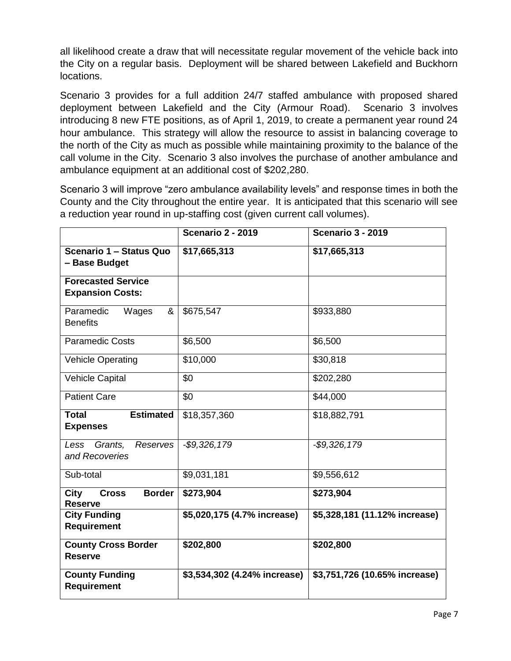all likelihood create a draw that will necessitate regular movement of the vehicle back into the City on a regular basis. Deployment will be shared between Lakefield and Buckhorn locations.

Scenario 3 provides for a full addition 24/7 staffed ambulance with proposed shared deployment between Lakefield and the City (Armour Road). Scenario 3 involves introducing 8 new FTE positions, as of April 1, 2019, to create a permanent year round 24 hour ambulance. This strategy will allow the resource to assist in balancing coverage to the north of the City as much as possible while maintaining proximity to the balance of the call volume in the City. Scenario 3 also involves the purchase of another ambulance and ambulance equipment at an additional cost of \$202,280.

Scenario 3 will improve "zero ambulance availability levels" and response times in both the County and the City throughout the entire year. It is anticipated that this scenario will see a reduction year round in up-staffing cost (given current call volumes).

|                                                                | <b>Scenario 2 - 2019</b>     | <b>Scenario 3 - 2019</b>      |
|----------------------------------------------------------------|------------------------------|-------------------------------|
| Scenario 1 - Status Quo<br>- Base Budget                       | \$17,665,313                 | \$17,665,313                  |
| <b>Forecasted Service</b><br><b>Expansion Costs:</b>           |                              |                               |
| Paramedic<br>Wages<br>&<br><b>Benefits</b>                     | \$675,547                    | \$933,880                     |
| <b>Paramedic Costs</b>                                         | \$6,500                      | \$6,500                       |
| <b>Vehicle Operating</b>                                       | \$10,000                     | \$30,818                      |
| <b>Vehicle Capital</b>                                         | \$0                          | \$202,280                     |
| <b>Patient Care</b>                                            | \$0                          | \$44,000                      |
| <b>Estimated</b><br><b>Total</b><br><b>Expenses</b>            | \$18,357,360                 | \$18,882,791                  |
| Less Grants,<br><b>Reserves</b><br>and Recoveries              | $-$ \$9,326,179              | $-$ \$9,326,179               |
| Sub-total                                                      | \$9,031,181                  | \$9,556,612                   |
| <b>Border</b><br><b>City</b><br><b>Cross</b><br><b>Reserve</b> | \$273,904                    | \$273,904                     |
| <b>City Funding</b><br><b>Requirement</b>                      | \$5,020,175 (4.7% increase)  | \$5,328,181 (11.12% increase) |
| <b>County Cross Border</b><br><b>Reserve</b>                   | \$202,800                    | \$202,800                     |
| <b>County Funding</b><br><b>Requirement</b>                    | \$3,534,302 (4.24% increase) | \$3,751,726 (10.65% increase) |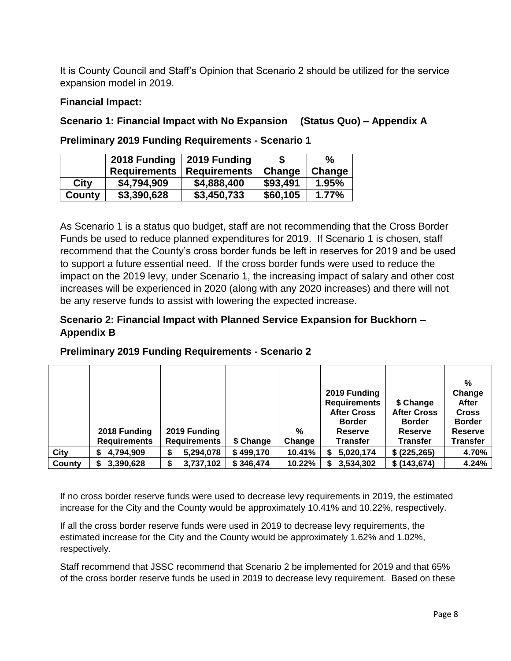It is County Council and Staff's Opinion that Scenario 2 should be utilized for the service expansion model in 2019.

## **Financial Impact:**

## **Scenario 1: Financial Impact with No Expansion (Status Quo) – Appendix A**

**Preliminary 2019 Funding Requirements - Scenario 1**

|        | 2018 Funding        | 2019 Funding        |          | $\%$   |
|--------|---------------------|---------------------|----------|--------|
|        | <b>Requirements</b> | <b>Requirements</b> | Change   | Change |
| City   | \$4,794,909         | \$4,888,400         | \$93,491 | 1.95%  |
| County | \$3,390,628         | \$3,450,733         | \$60,105 | 1.77%  |

As Scenario 1 is a status quo budget, staff are not recommending that the Cross Border Funds be used to reduce planned expenditures for 2019. If Scenario 1 is chosen, staff recommend that the County's cross border funds be left in reserves for 2019 and be used to support a future essential need. If the cross border funds were used to reduce the impact on the 2019 levy, under Scenario 1, the increasing impact of salary and other cost increases will be experienced in 2020 (along with any 2020 increases) and there will not be any reserve funds to assist with lowering the expected increase.

## **Scenario 2: Financial Impact with Planned Service Expansion for Buckhorn – Appendix B**

|        |                     |                     |           |        |                     |                    | %               |
|--------|---------------------|---------------------|-----------|--------|---------------------|--------------------|-----------------|
|        |                     |                     |           |        | 2019 Funding        |                    | Change          |
|        |                     |                     |           |        | <b>Requirements</b> | \$ Change          | After           |
|        |                     |                     |           |        | <b>After Cross</b>  | <b>After Cross</b> | <b>Cross</b>    |
|        |                     |                     |           |        | <b>Border</b>       | <b>Border</b>      | <b>Border</b>   |
|        | 2018 Funding        | 2019 Funding        |           | %      | <b>Reserve</b>      | Reserve            | <b>Reserve</b>  |
|        | <b>Requirements</b> | <b>Requirements</b> | \$ Change | Change | <b>Transfer</b>     | <b>Transfer</b>    | <b>Transfer</b> |
| City   | 4,794,909<br>S      | 5,294,078<br>S      | \$499,170 | 10.41% | 5,020,174           | \$ (225, 265)      | 4.70%           |
| County | 3,390,628<br>S      | 3,737,102<br>S      | \$346,474 | 10.22% | 3,534,302           | \$(143, 674)       | 4.24%           |

## **Preliminary 2019 Funding Requirements - Scenario 2**

If no cross border reserve funds were used to decrease levy requirements in 2019, the estimated increase for the City and the County would be approximately 10.41% and 10.22%, respectively.

If all the cross border reserve funds were used in 2019 to decrease levy requirements, the estimated increase for the City and the County would be approximately 1.62% and 1.02%, respectively.

Staff recommend that JSSC recommend that Scenario 2 be implemented for 2019 and that 65% of the cross border reserve funds be used in 2019 to decrease levy requirement. Based on these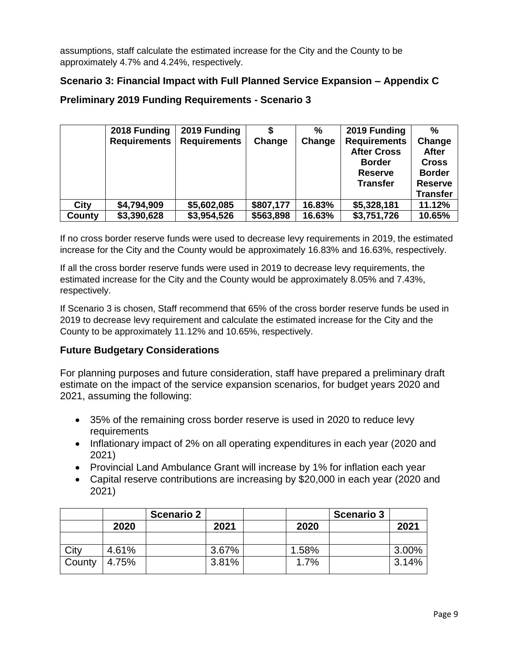assumptions, staff calculate the estimated increase for the City and the County to be approximately 4.7% and 4.24%, respectively.

## **Scenario 3: Financial Impact with Full Planned Service Expansion – Appendix C**

|  | <b>Preliminary 2019 Funding Requirements - Scenario 3</b> |
|--|-----------------------------------------------------------|
|--|-----------------------------------------------------------|

|        | 2018 Funding        | 2019 Funding        |           | %      | 2019 Funding                              | $\frac{0}{0}$          |
|--------|---------------------|---------------------|-----------|--------|-------------------------------------------|------------------------|
|        | <b>Requirements</b> | <b>Requirements</b> | Change    | Change | <b>Requirements</b><br><b>After Cross</b> | Change<br><b>After</b> |
|        |                     |                     |           |        | <b>Border</b>                             | <b>Cross</b>           |
|        |                     |                     |           |        | <b>Reserve</b>                            | <b>Border</b>          |
|        |                     |                     |           |        | <b>Transfer</b>                           | <b>Reserve</b>         |
|        |                     |                     |           |        |                                           | <b>Transfer</b>        |
| City   | \$4,794,909         | \$5,602,085         | \$807,177 | 16.83% | \$5,328,181                               | 11.12%                 |
| County | \$3,390,628         | \$3,954,526         | \$563,898 | 16.63% | \$3,751,726                               | 10.65%                 |

If no cross border reserve funds were used to decrease levy requirements in 2019, the estimated increase for the City and the County would be approximately 16.83% and 16.63%, respectively.

If all the cross border reserve funds were used in 2019 to decrease levy requirements, the estimated increase for the City and the County would be approximately 8.05% and 7.43%, respectively.

If Scenario 3 is chosen, Staff recommend that 65% of the cross border reserve funds be used in 2019 to decrease levy requirement and calculate the estimated increase for the City and the County to be approximately 11.12% and 10.65%, respectively.

## **Future Budgetary Considerations**

For planning purposes and future consideration, staff have prepared a preliminary draft estimate on the impact of the service expansion scenarios, for budget years 2020 and 2021, assuming the following:

- 35% of the remaining cross border reserve is used in 2020 to reduce levy requirements
- Inflationary impact of 2% on all operating expenditures in each year (2020 and 2021)
- Provincial Land Ambulance Grant will increase by 1% for inflation each year
- Capital reserve contributions are increasing by \$20,000 in each year (2020 and 2021)

|        |       | <b>Scenario 2</b> |       |       | <b>Scenario 3</b> |       |
|--------|-------|-------------------|-------|-------|-------------------|-------|
|        | 2020  |                   | 2021  | 2020  |                   | 2021  |
|        |       |                   |       |       |                   |       |
| City   | 4.61% |                   | 3.67% | 1.58% |                   | 3.00% |
| County | 4.75% |                   | 3.81% | 1.7%  |                   | 3.14% |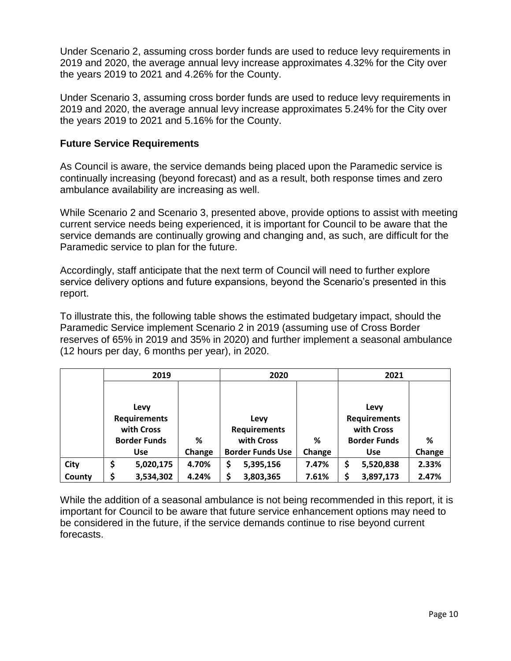Under Scenario 2, assuming cross border funds are used to reduce levy requirements in 2019 and 2020, the average annual levy increase approximates 4.32% for the City over the years 2019 to 2021 and 4.26% for the County.

Under Scenario 3, assuming cross border funds are used to reduce levy requirements in 2019 and 2020, the average annual levy increase approximates 5.24% for the City over the years 2019 to 2021 and 5.16% for the County.

#### **Future Service Requirements**

As Council is aware, the service demands being placed upon the Paramedic service is continually increasing (beyond forecast) and as a result, both response times and zero ambulance availability are increasing as well.

While Scenario 2 and Scenario 3, presented above, provide options to assist with meeting current service needs being experienced, it is important for Council to be aware that the service demands are continually growing and changing and, as such, are difficult for the Paramedic service to plan for the future.

Accordingly, staff anticipate that the next term of Council will need to further explore service delivery options and future expansions, beyond the Scenario's presented in this report.

To illustrate this, the following table shows the estimated budgetary impact, should the Paramedic Service implement Scenario 2 in 2019 (assuming use of Cross Border reserves of 65% in 2019 and 35% in 2020) and further implement a seasonal ambulance (12 hours per day, 6 months per year), in 2020.

|        | 2019                |           |        | 2020                |                         |                     | 2021       |                     |        |
|--------|---------------------|-----------|--------|---------------------|-------------------------|---------------------|------------|---------------------|--------|
|        |                     |           |        |                     |                         |                     |            |                     |        |
|        | Levy                |           |        |                     |                         |                     | Levy       |                     |        |
|        | <b>Requirements</b> |           |        | Levy                |                         | <b>Requirements</b> |            |                     |        |
|        | with Cross          |           |        | <b>Requirements</b> |                         |                     | with Cross |                     |        |
|        | <b>Border Funds</b> |           | %      |                     | with Cross              | ℅                   |            | <b>Border Funds</b> | %      |
|        | <b>Use</b>          |           | Change |                     | <b>Border Funds Use</b> | Change              |            | <b>Use</b>          | Change |
| City   | \$                  | 5,020,175 | 4.70%  | \$                  | 5,395,156               | 7.47%               | \$         | 5,520,838           | 2.33%  |
| County | \$                  | 3,534,302 | 4.24%  | \$                  | 3,803,365               | 7.61%               |            | 3,897,173           | 2.47%  |

While the addition of a seasonal ambulance is not being recommended in this report, it is important for Council to be aware that future service enhancement options may need to be considered in the future, if the service demands continue to rise beyond current forecasts.